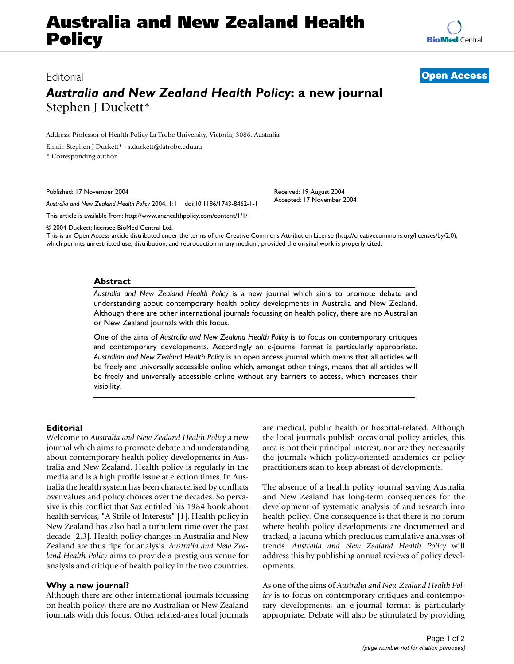# **Australia and New Zealand Health Policy**

**[BioMed](http://www.biomedcentral.com/)** Central

### Editorial **[Open Access](http://www.biomedcentral.com/info/about/charter/)**

## *Australia and New Zealand Health Policy***: a new journal** Stephen J Duckett\*

Address: Professor of Health Policy La Trobe University, Victoria, 3086, Australia

Email: Stephen J Duckett\* - s.duckett@latrobe.edu.au

\* Corresponding author

Published: 17 November 2004

*Australia and New Zealand Health Policy* 2004, **1**:1 doi:10.1186/1743-8462-1-1

[This article is available from: http://www.anzhealthpolicy.com/content/1/1/1](http://www.anzhealthpolicy.com/content/1/1/1)

© 2004 Duckett; licensee BioMed Central Ltd.

This is an Open Access article distributed under the terms of the Creative Commons Attribution License [\(http://creativecommons.org/licenses/by/2.0\)](http://creativecommons.org/licenses/by/2.0), which permits unrestricted use, distribution, and reproduction in any medium, provided the original work is properly cited.

Received: 19 August 2004 Accepted: 17 November 2004

#### **Abstract**

*Australia and New Zealand Health Policy* is a new journal which aims to promote debate and understanding about contemporary health policy developments in Australia and New Zealand. Although there are other international journals focussing on health policy, there are no Australian or New Zealand journals with this focus.

One of the aims of *Australia and New Zealand Health Policy* is to focus on contemporary critiques and contemporary developments. Accordingly an e-journal format is particularly appropriate. *Australian and New Zealand Health Policy* is an open access journal which means that all articles will be freely and universally accessible online which, amongst other things, means that all articles will be freely and universally accessible online without any barriers to access, which increases their visibility.

#### **Editorial**

Welcome to *Australia and New Zealand Health Policy* a new journal which aims to promote debate and understanding about contemporary health policy developments in Australia and New Zealand. Health policy is regularly in the media and is a high profile issue at election times. In Australia the health system has been characterised by conflicts over values and policy choices over the decades. So pervasive is this conflict that Sax entitled his 1984 book about health services, "A Strife of Interests" [1]. Health policy in New Zealand has also had a turbulent time over the past decade [2,3]. Health policy changes in Australia and New Zealand are thus ripe for analysis. *Australia and New Zealand Health Policy* aims to provide a prestigious venue for analysis and critique of health policy in the two countries.

#### **Why a new journal?**

Although there are other international journals focussing on health policy, there are no Australian or New Zealand journals with this focus. Other related-area local journals are medical, public health or hospital-related. Although the local journals publish occasional policy articles, this area is not their principal interest, nor are they necessarily the journals which policy-oriented academics or policy practitioners scan to keep abreast of developments.

The absence of a health policy journal serving Australia and New Zealand has long-term consequences for the development of systematic analysis of and research into health policy. One consequence is that there is no forum where health policy developments are documented and tracked, a lacuna which precludes cumulative analyses of trends. *Australia and New Zealand Health Policy* will address this by publishing annual reviews of policy developments.

As one of the aims of *Australia and New Zealand Health Policy* is to focus on contemporary critiques and contemporary developments, an e-journal format is particularly appropriate. Debate will also be stimulated by providing